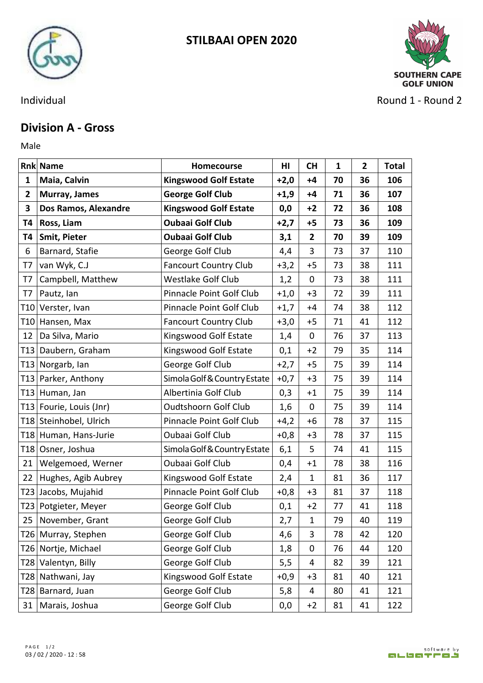



Individual **Round 2** - Round 2 - Round 2

## **Division A - Gross**

Male **Male** 

|                 | <b>Rnk Name</b>         | Homecourse                   | H <sub>II</sub> | <b>CH</b>      | $\mathbf{1}$ | $\overline{2}$ | <b>Total</b> |
|-----------------|-------------------------|------------------------------|-----------------|----------------|--------------|----------------|--------------|
| $\mathbf{1}$    | Maia, Calvin            | <b>Kingswood Golf Estate</b> | $+2,0$          | $+4$           | 70           | 36             | 106          |
| $\overline{2}$  | Murray, James           | <b>George Golf Club</b>      | $+1,9$          | $+4$           | 71           | 36             | 107          |
| 3               | Dos Ramos, Alexandre    | <b>Kingswood Golf Estate</b> | 0,0             | $+2$           | 72           | 36             | 108          |
| Т4              | <b>Ross, Liam</b>       | <b>Oubaai Golf Club</b>      | $+2,7$          | $+5$           | 73           | 36             | 109          |
| Т4              | <b>Smit, Pieter</b>     | <b>Oubaai Golf Club</b>      | 3,1             | $\overline{2}$ | 70           | 39             | 109          |
| 6               | Barnard, Stafie         | George Golf Club             | 4,4             | 3              | 73           | 37             | 110          |
| T7              | van Wyk, C.J            | <b>Fancourt Country Club</b> | $+3,2$          | $+5$           | 73           | 38             | 111          |
| T7              | Campbell, Matthew       | <b>Westlake Golf Club</b>    | 1,2             | $\mathbf 0$    | 73           | 38             | 111          |
| T7              | Pautz, lan              | Pinnacle Point Golf Club     | $+1,0$          | $+3$           | 72           | 39             | 111          |
| T <sub>10</sub> | Verster, Ivan           | Pinnacle Point Golf Club     | $+1,7$          | $+4$           | 74           | 38             | 112          |
|                 | T10 Hansen, Max         | <b>Fancourt Country Club</b> | $+3,0$          | $+5$           | 71           | 41             | 112          |
| 12              | Da Silva, Mario         | Kingswood Golf Estate        | 1,4             | $\mathbf 0$    | 76           | 37             | 113          |
|                 | T13 Daubern, Graham     | Kingswood Golf Estate        | 0,1             | $+2$           | 79           | 35             | 114          |
|                 | T13 Norgarb, Ian        | George Golf Club             | $+2,7$          | $+5$           | 75           | 39             | 114          |
|                 | T13 Parker, Anthony     | Simola Golf & Country Estate | $+0,7$          | $+3$           | 75           | 39             | 114          |
|                 | T13 Human, Jan          | Albertinia Golf Club         | 0,3             | $+1$           | 75           | 39             | 114          |
|                 | T13 Fourie, Louis (Jnr) | <b>Oudtshoorn Golf Club</b>  | 1,6             | 0              | 75           | 39             | 114          |
|                 | T18 Steinhobel, Ulrich  | Pinnacle Point Golf Club     | $+4,2$          | $+6$           | 78           | 37             | 115          |
|                 | T18 Human, Hans-Jurie   | Oubaai Golf Club             | $+0,8$          | $+3$           | 78           | 37             | 115          |
|                 | T18 Osner, Joshua       | Simola Golf & Country Estate | 6,1             | 5              | 74           | 41             | 115          |
| 21              | Welgemoed, Werner       | Oubaai Golf Club             | 0,4             | $+1$           | 78           | 38             | 116          |
| 22              | Hughes, Agib Aubrey     | Kingswood Golf Estate        | 2,4             | $\mathbf{1}$   | 81           | 36             | 117          |
|                 | T23 Jacobs, Mujahid     | Pinnacle Point Golf Club     | $+0,8$          | $+3$           | 81           | 37             | 118          |
|                 | T23   Potgieter, Meyer  | George Golf Club             | 0,1             | $+2$           | 77           | 41             | 118          |
|                 | 25   November, Grant    | George Golf Club             | 2,7             | $\mathbf{1}$   | 79           | 40             | 119          |
|                 | T26   Murray, Stephen   | George Golf Club             | 4,6             | 3              | 78           | 42             | 120          |
|                 | T26 Nortje, Michael     | George Golf Club             | 1,8             | 0              | 76           | 44             | 120          |
|                 | T28 Valentyn, Billy     | George Golf Club             | 5,5             | 4              | 82           | 39             | 121          |
|                 | T28 Nathwani, Jay       | Kingswood Golf Estate        | $+0,9$          | $+3$           | 81           | 40             | 121          |
|                 | T28 Barnard, Juan       | George Golf Club             | 5,8             | 4              | 80           | 41             | 121          |
|                 | 31   Marais, Joshua     | George Golf Club             | 0,0             | $+2$           | 81           | 41             | 122          |